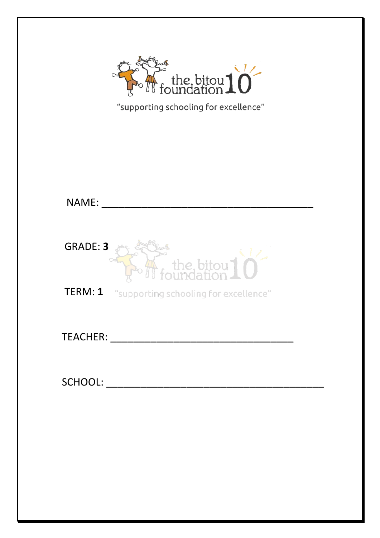

|  |  | "supporting schooling for excellence" |
|--|--|---------------------------------------|
|--|--|---------------------------------------|

| NAME:           |                                               |
|-----------------|-----------------------------------------------|
| <b>GRADE: 3</b> | $\mathcal{L}$ the bitou $10^{-1}$             |
|                 | TERM: 1 "supporting schooling for excellence" |
|                 |                                               |
| SCHOOL:         |                                               |
|                 |                                               |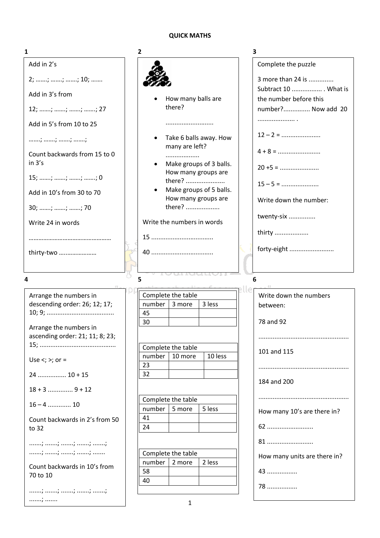# **QUICK MATHS**

| 1                                                                                   | 2                                  | 3                                            |
|-------------------------------------------------------------------------------------|------------------------------------|----------------------------------------------|
| Add in 2's                                                                          |                                    | Complete the puzzle                          |
| 2; ; ; ; 10;                                                                        |                                    | 3 more than 24 is                            |
| Add in 3's from                                                                     |                                    | Subtract 10  What is                         |
| $12; \, \ldots \ldots; \, \ldots \ldots; \, \ldots \ldots; \, \ldots \ldots; \, 27$ | How many balls are<br>there?       | the number before this<br>number? Now add 20 |
| Add in 5's from 10 to 25                                                            |                                    |                                              |
|                                                                                     | Take 6 balls away. How             | $12 - 2 =$                                   |
| ; ; ; ;                                                                             | many are left?                     |                                              |
| Count backwards from 15 to 0<br>in 3's                                              | .<br>Make groups of 3 balls.       | $20 + 5 =$                                   |
| $15; \, \ldots \ldots; \, \ldots \ldots; \, \ldots \ldots; \, 0$                    | How many groups are<br>there?      |                                              |
| Add in 10's from 30 to 70                                                           | Make groups of 5 balls.            | $15 - 5 =$                                   |
| 30; ; ; ; 70                                                                        | How many groups are<br>there?      | Write down the number:                       |
| Write 24 in words                                                                   | Write the numbers in words         | twenty-six                                   |
|                                                                                     |                                    | thirty                                       |
|                                                                                     |                                    | forty-eight                                  |
| thirty-two                                                                          |                                    |                                              |
|                                                                                     |                                    |                                              |
| 4                                                                                   | 5                                  | 6                                            |
| Arrange the numbers in                                                              | Complete the table                 | Write down the numbers                       |
| descending order: 26; 12; 17;                                                       | number<br>3 more<br>3 less<br>45   | between:                                     |
| Arrange the numbers in                                                              | 30                                 | 78 and 92                                    |
| ascending order: 21; 11; 8; 23;                                                     |                                    |                                              |
|                                                                                     | Complete the table                 | 101 and 115                                  |
| Use $\lt$ ; $\gt$ ; or =                                                            | number<br>10 more<br>10 less<br>23 |                                              |
| $24$ 10 + 15                                                                        | 32                                 | 184 and 200                                  |
| $18 + 3$ 9 + 12                                                                     |                                    |                                              |
|                                                                                     |                                    |                                              |
| $16 - 4$ 10                                                                         | Complete the table                 |                                              |
|                                                                                     | number<br>5 more<br>5 less<br>41   | How many 10's are there in?                  |
| Count backwards in 2's from 50<br>to 32                                             | 24                                 | 62                                           |
|                                                                                     |                                    | 81                                           |
|                                                                                     | Complete the table                 | How many units are there in?                 |
| Count backwards in 10's from                                                        | number<br>2 less<br>2 more<br>58   | 43                                           |
| 70 to 10                                                                            | 40                                 | 78                                           |
| . ;                                                                                 | 1                                  |                                              |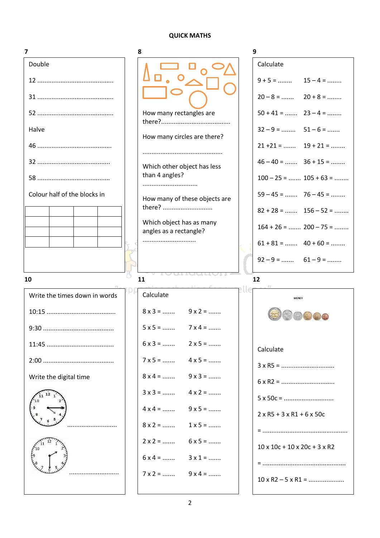#### **QUICK MATHS**

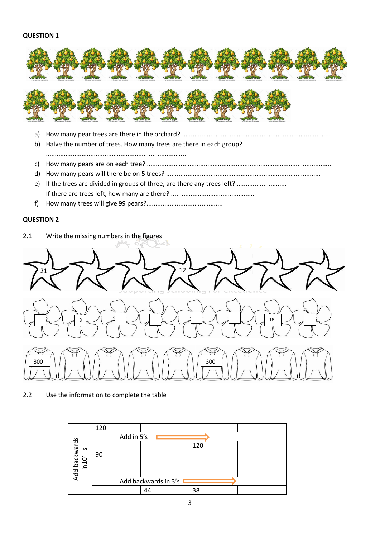#### **QUESTION 1**



a) How many pear trees are there in the orchard? ....................................................................................

b) Halve the number of trees. How many trees are there in each group?

...............................................................................

- c) How many pears are on each tree? .........................................................................................................
- d) How many pears will there be on 5 trees? .......................................................................................
- e) If the trees are divided in groups of three, are there any trees left? ............................ If there are trees left, how many are there? ...............................................
- f) How many trees will give 99 pears?...........................................

### **QUESTION 2**



2.2 Use the information to complete the table

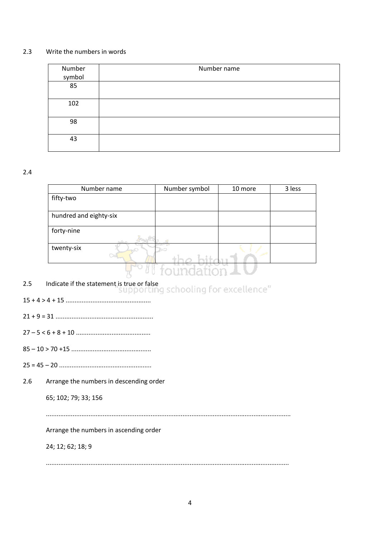### 2.3 Write the numbers in words

| Number<br>symbol | Number name |
|------------------|-------------|
| 85               |             |
| 102              |             |
| 98               |             |
| 43               |             |

### 2.4

| Number name            | Number symbol | 10 more | 3 less |
|------------------------|---------------|---------|--------|
| fifty-two              |               |         |        |
|                        |               |         |        |
| hundred and eighty-six |               |         |        |
| forty-nine             |               |         |        |
| twenty-six             |               |         |        |
|                        | toundation    |         |        |

- 2.5 Indicate if the statement is true or false<br>"Supporting schooling for excellence"
- 15 + 4 > 4 + 15 ................................................
- 21 + 9 = 31 .......................................................
- 27 5 < 6 + 8 + 10 ..........................................
- 85 10 > 70 +15 .............................................
- 25 = 45 20 ....................................................
- 2.6 Arrange the numbers in descending order

65; 102; 79; 33; 156

..........................................................................................................................................

Arrange the numbers in ascending order

24; 12; 62; 18; 9

.........................................................................................................................................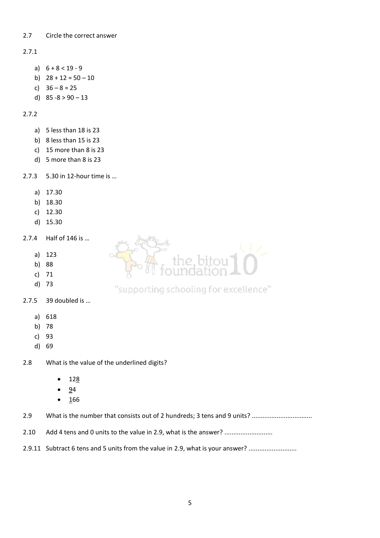### 2.7 Circle the correct answer

# 2.7.1

- a)  $6 + 8 < 19 9$
- b)  $28 + 12 = 50 10$
- c) 36 8 = 25
- d)  $85 8 > 90 13$

# 2.7.2

- a) 5 less than 18 is 23
- b) 8 less than 15 is 23
- c) 15 more than 8 is 23
- d) 5 more than 8 is 23

2.7.3 5.30 in 12-hour time is …

- a) 17.30
- b) 18.30
- c) 12.30
- d) 15.30
- 2.7.4 Half of 146 is …
	- a) 123
	- b) 88
	- c) 71
	- d) 73
- 2.7.5 39 doubled is …
	- a) 618
	- b) 78
	- c) 93
	- d) 69

2.8 What is the value of the underlined digits?

- $128$
- 94
- $166$

2.9 What is the number that consists out of 2 hundreds; 3 tens and 9 units? .................................

- 2.10 Add 4 tens and 0 units to the value in 2.9, what is the answer? ...........................
- 2.9.11 Subtract 6 tens and 5 units from the value in 2.9, what is your answer? ...........................

# "supporting schooling for excellence"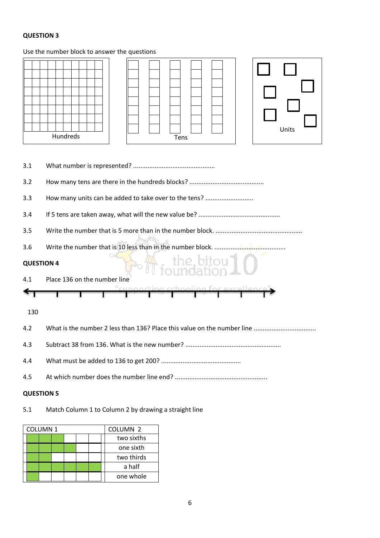# **QUESTION 3**

# Use the number block to answer the questions

|                   | Units<br>Hundreds<br>Tens                                  |  |  |  |  |  |
|-------------------|------------------------------------------------------------|--|--|--|--|--|
| 3.1               |                                                            |  |  |  |  |  |
| 3.2               |                                                            |  |  |  |  |  |
| 3.3               | How many units can be added to take over to the tens?      |  |  |  |  |  |
| 3.4               |                                                            |  |  |  |  |  |
| 3.5               |                                                            |  |  |  |  |  |
| 3.6               | Write the number that is 10 less than in the number block. |  |  |  |  |  |
| <b>QUESTION 4</b> | the bitou]<br>Sundation                                    |  |  |  |  |  |
| 4.1               | Place 136 on the number line                               |  |  |  |  |  |
|                   |                                                            |  |  |  |  |  |
| 130               |                                                            |  |  |  |  |  |
| 4.2               |                                                            |  |  |  |  |  |
| 4.3               |                                                            |  |  |  |  |  |
| 4.4               |                                                            |  |  |  |  |  |
| 4.5               |                                                            |  |  |  |  |  |
| <b>QUESTION 5</b> |                                                            |  |  |  |  |  |

# 5.1 Match Column 1 to Column 2 by drawing a straight line

| <b>COLUMN1</b> |  | COLUMN <sub>2</sub> |  |           |
|----------------|--|---------------------|--|-----------|
|                |  | two sixths          |  |           |
|                |  |                     |  | one sixth |
|                |  | two thirds          |  |           |
|                |  |                     |  | a half    |
|                |  |                     |  | one whole |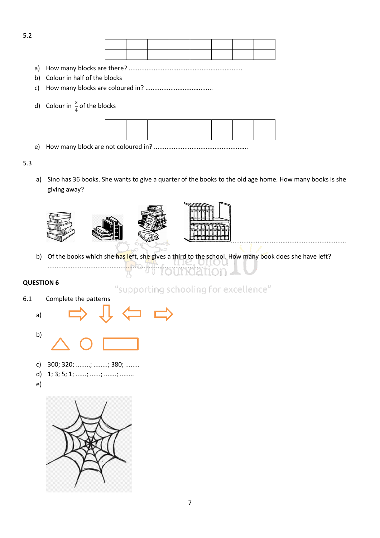

- a) How many blocks are there? ................................................................
- b) Colour in half of the blocks
- c) How many blocks are coloured in? ......................................
- d) Colour in  $\frac{3}{4}$  of the blocks



e) How many block are not coloured in? .....................................................

### 5.3

5.2

a) Sino has 36 books. She wants to give a quarter of the books to the old age home. How many books is she giving away?







.................................................................

b) Of the books which she has left, she gives a third to the school. How many book does she have left? ........................................................................................

# **QUESTION 6**

6.1 Complete the patterns

"supporting schooling for excellence"





- c) 300; 320; ........; ........; 380; ........
- d) 1; 3; 5; 1; ......; ......; .......; ........
- e)

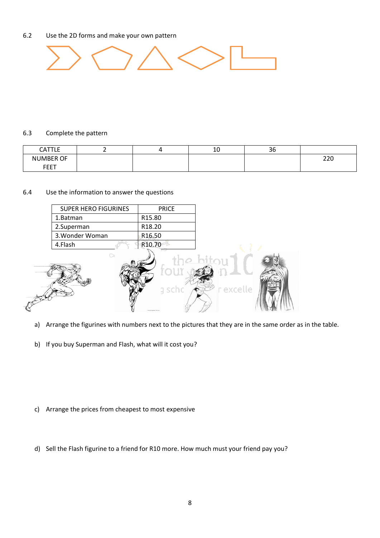### 6.2 Use the 2D forms and make your own pattern



#### 6.3 Complete the pattern

X

| CATTLE           |  | 1 <sup>c</sup><br>Τn | $\sim$<br>30 |     |
|------------------|--|----------------------|--------------|-----|
| <b>NUMBER OF</b> |  |                      |              | 220 |
| <b>FEET</b>      |  |                      |              |     |

### 6.4 Use the information to answer the questions

| <b>SUPER HERO FIGURINES</b> | <b>PRICE</b>                                       |                        |  |
|-----------------------------|----------------------------------------------------|------------------------|--|
| 1.Batman                    | R15.80                                             |                        |  |
| 2.Superman                  | R18.20                                             |                        |  |
| 3. Wonder Woman             | R16.50                                             |                        |  |
| 4.Flash                     | R10.70                                             |                        |  |
|                             | tou<br>g scho<br>were a starting singer 4 who wide | the hitou<br>r excelle |  |

- a) Arrange the figurines with numbers next to the pictures that they are in the same order as in the table.
- b) If you buy Superman and Flash, what will it cost you?

- c) Arrange the prices from cheapest to most expensive
- d) Sell the Flash figurine to a friend for R10 more. How much must your friend pay you?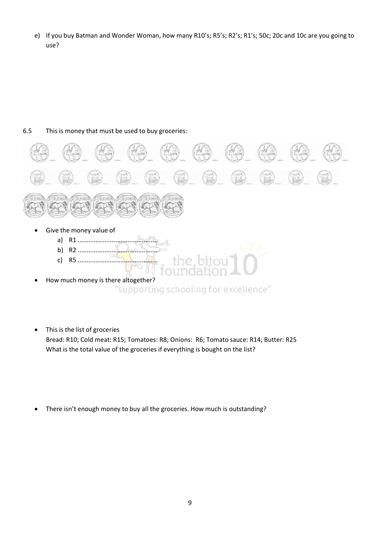e) If you buy Batman and Wonder Woman, how many R10's; R5's; R2's; R1's; 50c; 20c and 10c are you going to use?

# 6.5 This is money that must be used to buy groceries:



- How much money is there altogether? "supporting schooling for excellence"
- This is the list of groceries Bread: R10; Cold meat: R15; Tomatoes: R8; Onions: R6; Tomato sauce: R14; Butter: R25 What is the total value of the groceries if everything is bought on the list?
- There isn't enough money to buy all the groceries. How much is outstanding?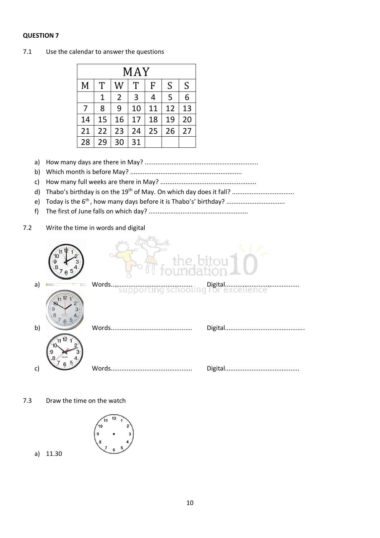### **QUESTION 7**

|    | MAY |                |    |    |    |    |  |
|----|-----|----------------|----|----|----|----|--|
| M  | T   | W              | T  | F  | S  | S  |  |
|    | 1   | $\overline{2}$ | 3  | 4  | 5  | 6  |  |
| 7  | 8   | 9              | 10 | 11 | 12 | 13 |  |
| 14 | 15  | 16             | 17 | 18 | 19 | 20 |  |
| 21 | 22  | 23             | 24 | 25 | 26 | 27 |  |
| 28 | 29  | 30             | 31 |    |    |    |  |

7.1 Use the calendar to answer the questions

- a) How many days are there in May? ................................................................
- b) Which month is before May? ...............................................................
- c) How many full weeks are there in May? ......................................................
- d) Thabo's birthday is on the 19th of May. On which day does it fall? ...................................
- e) Today is the 6<sup>th</sup>, how many days before it is Thabo's' birthday? ...................................
- f) The first of June falls on which day? ........................................................
- 7.2 Write the time in words and digital



7.3 Draw the time on the watch



a) 11.30